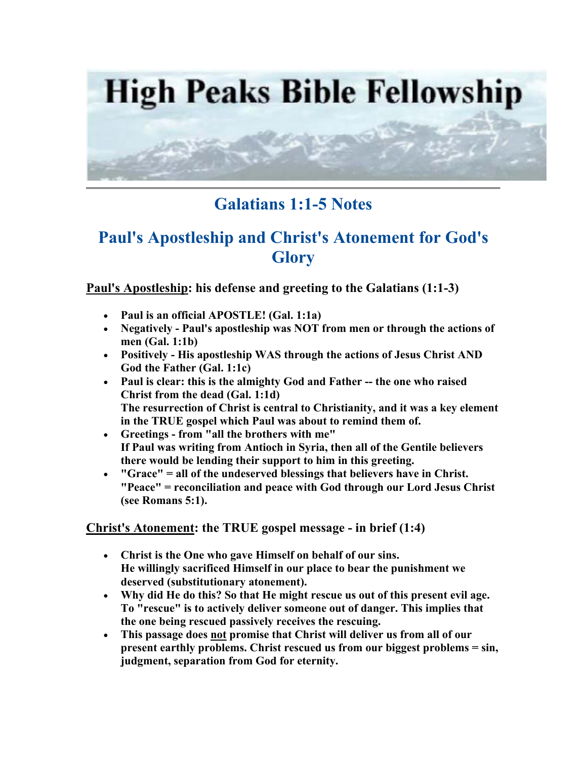

## **Galatians 1:1-5 Notes**

# **Paul's Apostleship and Christ's Atonement for God's Glory**

**Paul's Apostleship: his defense and greeting to the Galatians (1:1-3)** 

- **Paul is an official APOSTLE! (Gal. 1:1a)**
- **Negatively Paul's apostleship was NOT from men or through the actions of men (Gal. 1:1b)**
- **Positively His apostleship WAS through the actions of Jesus Christ AND God the Father (Gal. 1:1c)**
- **Paul is clear: this is the almighty God and Father -- the one who raised Christ from the dead (Gal. 1:1d) The resurrection of Christ is central to Christianity, and it was a key element in the TRUE gospel which Paul was about to remind them of.**
- **Greetings from "all the brothers with me" If Paul was writing from Antioch in Syria, then all of the Gentile believers there would be lending their support to him in this greeting.**
- **"Grace" = all of the undeserved blessings that believers have in Christ. "Peace" = reconciliation and peace with God through our Lord Jesus Christ (see Romans 5:1).**

### **Christ's Atonement: the TRUE gospel message - in brief (1:4)**

- **Christ is the One who gave Himself on behalf of our sins. He willingly sacrificed Himself in our place to bear the punishment we deserved (substitutionary atonement).**
- **Why did He do this? So that He might rescue us out of this present evil age. To "rescue" is to actively deliver someone out of danger. This implies that the one being rescued passively receives the rescuing.**
- **This passage does not promise that Christ will deliver us from all of our present earthly problems. Christ rescued us from our biggest problems = sin, judgment, separation from God for eternity.**